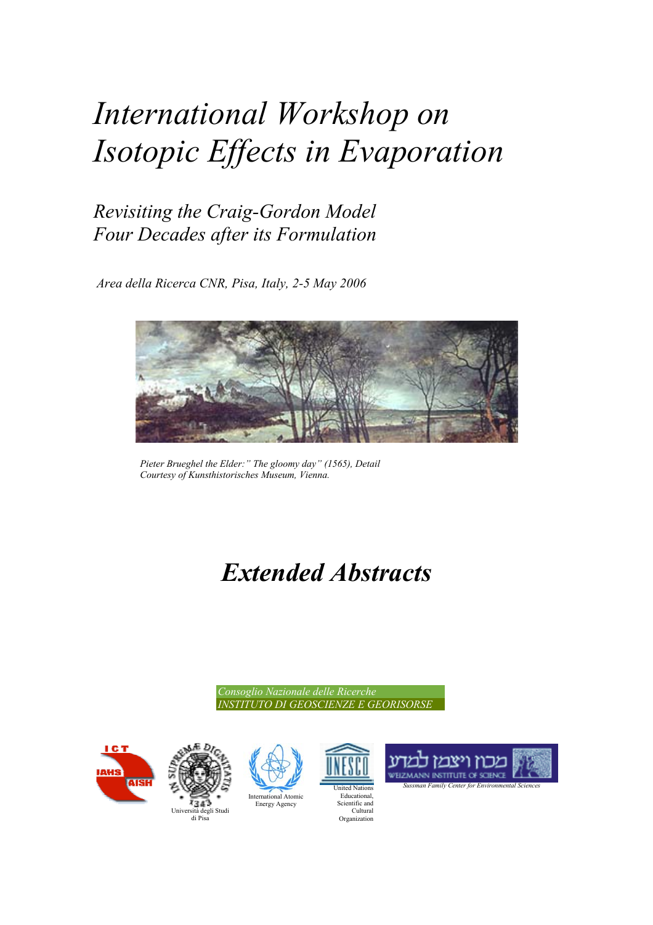# *International Workshop on Isotopic Effects in Evaporation*

### *Revisiting the Craig-Gordon Model Four Decades after its Formulation*

 *Area della Ricerca CNR, Pisa, Italy, 2-5 May 2006* 



*Pieter Brueghel the Elder:" The gloomy day" (1565), Detail Courtesy of Kunsthistorisches Museum, Vienna.* 

## *Extended Abstracts*

*Consoglio Nazionale delle Ricerche INSTITUTO DI GEOSCIENZE E GEORISORSE* 









**uted Nation** Educational, Scientific and Cultural Organization



*Sussman Family Center for Environmental Sciences*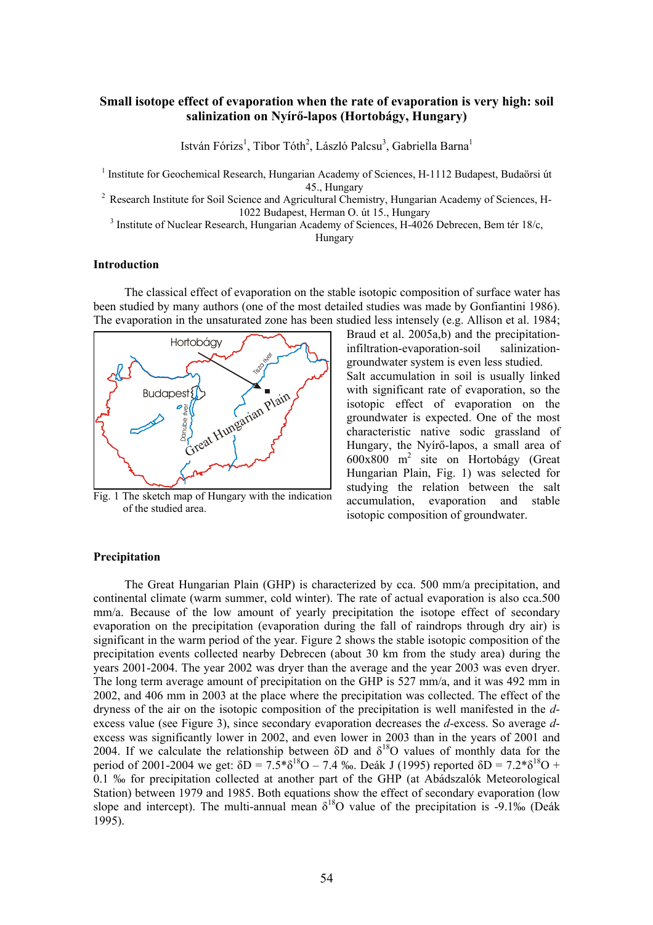#### **Small isotope effect of evaporation when the rate of evaporation is very high: soil salinization on Nyírő-lapos (Hortobágy, Hungary)**

István Fórizs<sup>1</sup>, Tibor Tóth<sup>2</sup>, László Palcsu<sup>3</sup>, Gabriella Barna<sup>1</sup>

<sup>1</sup> Institute for Geochemical Research, Hungarian Academy of Sciences, H-1112 Budapest, Budaörsi út 45., Hungary 2<br>Pesearch Institute for Soil Science and Agricultural Chemistry, Hungarian Academy of Sciences, H-

<sup>3</sup> Institute of Nuclear Research, Hungarian Academy of Sciences, H-4026 Debrecen, Bem tér 18/c,

Hungary

#### **Introduction**

The classical effect of evaporation on the stable isotopic composition of surface water has been studied by many authors (one of the most detailed studies was made by Gonfiantini 1986). The evaporation in the unsaturated zone has been studied less intensely (e.g. Allison et al. 1984;



Fig. 1 The sketch map of Hungary with the indication of the studied area.

Braud et al. 2005a,b) and the precipitationinfiltration-evaporation-soil salinizationgroundwater system is even less studied. Salt accumulation in soil is usually linked with significant rate of evaporation, so the isotopic effect of evaporation on the groundwater is expected. One of the most characteristic native sodic grassland of Hungary, the Nyírő-lapos, a small area of 600x800 m2 site on Hortobágy (Great Hungarian Plain, Fig. 1) was selected for studying the relation between the salt accumulation, evaporation and stable isotopic composition of groundwater.

#### **Precipitation**

The Great Hungarian Plain (GHP) is characterized by cca. 500 mm/a precipitation, and continental climate (warm summer, cold winter). The rate of actual evaporation is also cca.500 mm/a. Because of the low amount of yearly precipitation the isotope effect of secondary evaporation on the precipitation (evaporation during the fall of raindrops through dry air) is significant in the warm period of the year. Figure 2 shows the stable isotopic composition of the precipitation events collected nearby Debrecen (about 30 km from the study area) during the years 2001-2004. The year 2002 was dryer than the average and the year 2003 was even dryer. The long term average amount of precipitation on the GHP is 527 mm/a, and it was 492 mm in 2002, and 406 mm in 2003 at the place where the precipitation was collected. The effect of the dryness of the air on the isotopic composition of the precipitation is well manifested in the *d*excess value (see Figure 3), since secondary evaporation decreases the *d*-excess. So average *d*excess was significantly lower in 2002, and even lower in 2003 than in the years of 2001 and 2004. If we calculate the relationship between  $\delta D$  and  $\delta^{18}O$  values of monthly data for the period of 2001-2004 we get:  $\delta D = 7.5* \delta^{18}O - 7.4$  ‰. Deák J (1995) reported  $\delta D = 7.2* \delta^{18}O +$ 0.1 ‰ for precipitation collected at another part of the GHP (at Abádszalók Meteorological Station) between 1979 and 1985. Both equations show the effect of secondary evaporation (low slope and intercept). The multi-annual mean  $\delta^{18}O$  value of the precipitation is -9.1‰ (Deák 1995).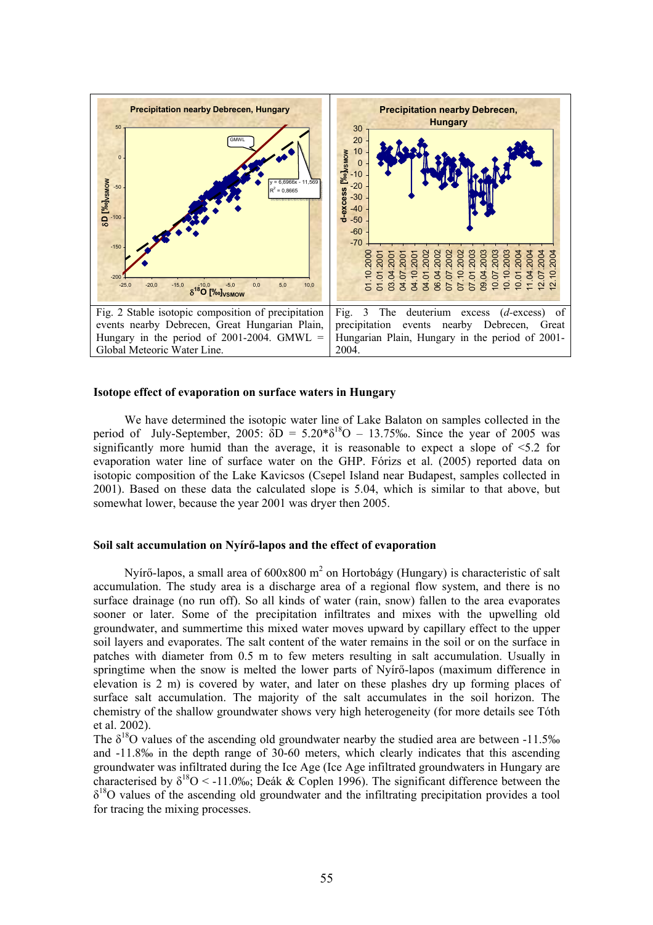

#### **Isotope effect of evaporation on surface waters in Hungary**

We have determined the isotopic water line of Lake Balaton on samples collected in the period of July-September, 2005:  $\delta D = 5.20* \delta^{18}O - 13.75\%$ . Since the year of 2005 was significantly more humid than the average, it is reasonable to expect a slope of  $\leq 5.2$  for evaporation water line of surface water on the GHP. Fórizs et al. (2005) reported data on isotopic composition of the Lake Kavicsos (Csepel Island near Budapest, samples collected in 2001). Based on these data the calculated slope is 5.04, which is similar to that above, but somewhat lower, because the year 2001 was dryer then 2005.

#### **Soil salt accumulation on Nyírő-lapos and the effect of evaporation**

Nyírő-lapos, a small area of  $600x800$  m<sup>2</sup> on Hortobágy (Hungary) is characteristic of salt accumulation. The study area is a discharge area of a regional flow system, and there is no surface drainage (no run off). So all kinds of water (rain, snow) fallen to the area evaporates sooner or later. Some of the precipitation infiltrates and mixes with the upwelling old groundwater, and summertime this mixed water moves upward by capillary effect to the upper soil layers and evaporates. The salt content of the water remains in the soil or on the surface in patches with diameter from 0.5 m to few meters resulting in salt accumulation. Usually in springtime when the snow is melted the lower parts of Nyírő-lapos (maximum difference in elevation is 2 m) is covered by water, and later on these plashes dry up forming places of surface salt accumulation. The majority of the salt accumulates in the soil horizon. The chemistry of the shallow groundwater shows very high heterogeneity (for more details see Tóth et al. 2002).

The  $\delta^{18}$ O values of the ascending old groundwater nearby the studied area are between -11.5‰ and -11.8‰ in the depth range of 30-60 meters, which clearly indicates that this ascending groundwater was infiltrated during the Ice Age (Ice Age infiltrated groundwaters in Hungary are characterised by  $\delta^{18}O \leq -11.0\%$ ; Deák & Coplen 1996). The significant difference between the  $\delta^{18}$ O values of the ascending old groundwater and the infiltrating precipitation provides a tool for tracing the mixing processes.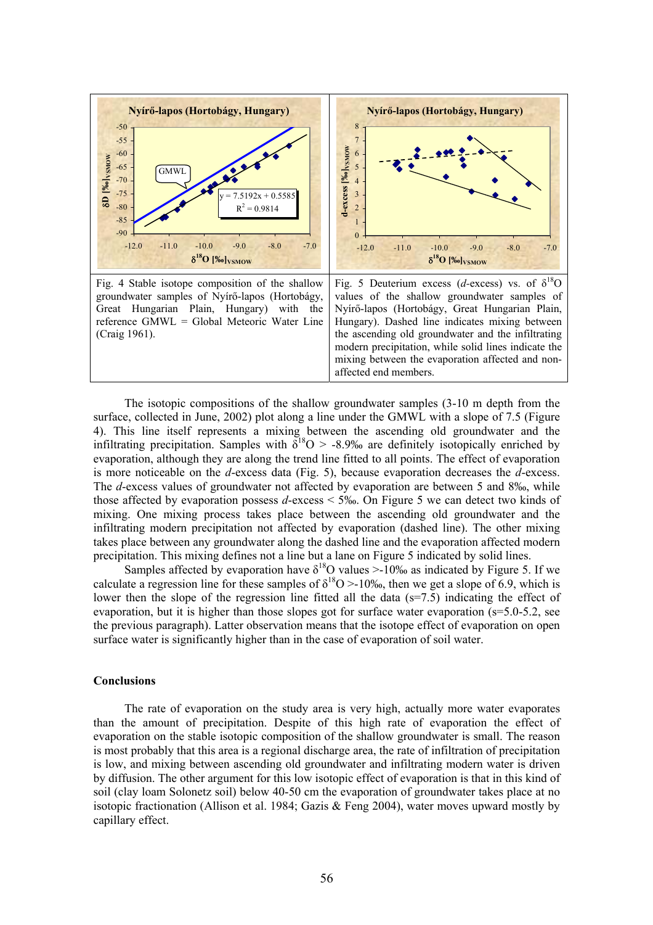

The isotopic compositions of the shallow groundwater samples (3-10 m depth from the surface, collected in June, 2002) plot along a line under the GMWL with a slope of 7.5 (Figure 4). This line itself represents a mixing between the ascending old groundwater and the infiltrating precipitation. Samples with  $\delta^{18}O > -8.9\%$  are definitely isotopically enriched by evaporation, although they are along the trend line fitted to all points. The effect of evaporation is more noticeable on the *d*-excess data (Fig. 5), because evaporation decreases the *d*-excess. The *d*-excess values of groundwater not affected by evaporation are between 5 and 8‰, while those affected by evaporation possess *d*-excess < 5‰. On Figure 5 we can detect two kinds of mixing. One mixing process takes place between the ascending old groundwater and the infiltrating modern precipitation not affected by evaporation (dashed line). The other mixing takes place between any groundwater along the dashed line and the evaporation affected modern precipitation. This mixing defines not a line but a lane on Figure 5 indicated by solid lines.

Samples affected by evaporation have  $\delta^{18}$ O values >-10‰ as indicated by Figure 5. If we calculate a regression line for these samples of  $\delta^{18}O > 10\%$ , then we get a slope of 6.9, which is lower then the slope of the regression line fitted all the data  $(s=7.5)$  indicating the effect of evaporation, but it is higher than those slopes got for surface water evaporation (s=5.0-5.2, see the previous paragraph). Latter observation means that the isotope effect of evaporation on open surface water is significantly higher than in the case of evaporation of soil water.

#### **Conclusions**

The rate of evaporation on the study area is very high, actually more water evaporates than the amount of precipitation. Despite of this high rate of evaporation the effect of evaporation on the stable isotopic composition of the shallow groundwater is small. The reason is most probably that this area is a regional discharge area, the rate of infiltration of precipitation is low, and mixing between ascending old groundwater and infiltrating modern water is driven by diffusion. The other argument for this low isotopic effect of evaporation is that in this kind of soil (clay loam Solonetz soil) below 40-50 cm the evaporation of groundwater takes place at no isotopic fractionation (Allison et al. 1984; Gazis  $\&$  Feng 2004), water moves upward mostly by capillary effect.